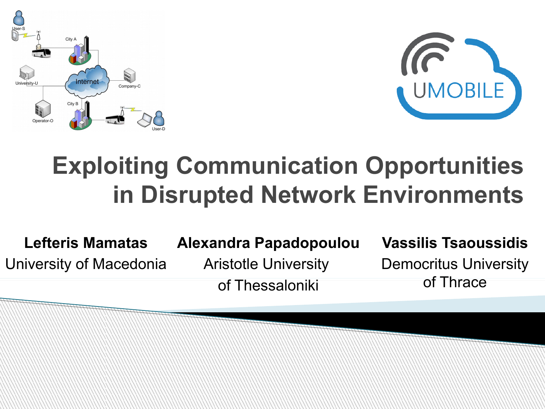



### **Exploiting Communication Opportunities in Disrupted Network Environments**

**Lefteris Mamatas** University of Macedonia **Alexandra Papadopoulou**

Aristotle University of Thessaloniki

### **Vassilis Tsaoussidis**

Democritus University of Thrace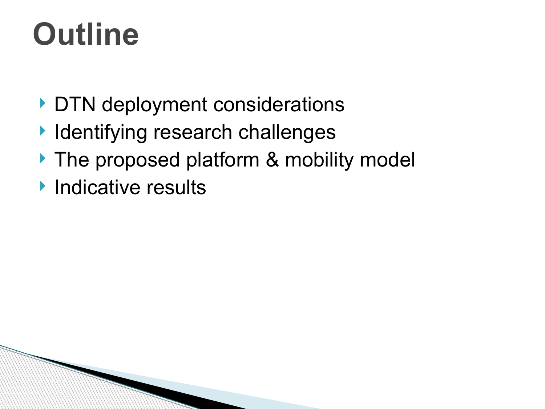## **Outline**

- DTN deployment considerations
- **I** Identifying research challenges
- The proposed platform & mobility model
- **Indicative results**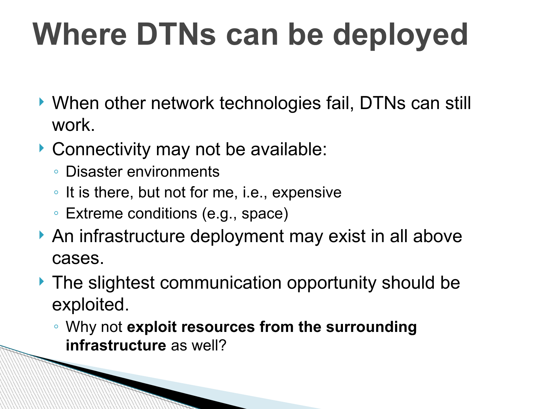# **Where DTNs can be deployed**

- ▶ When other network technologies fail, DTNs can still work.
- ▶ Connectivity may not be available:
	- Disaster environments

**RANGE BERGERA BERGERA BERGERA BERGERA BERGERA BERGERA BERGERA BERGERA BERGERA BERGERA BERGERA BERGERA BERGERA** 

- It is there, but not for me, i.e., expensive
- Extreme conditions (e.g., space)
- An infrastructure deployment may exist in all above cases.
- ▶ The slightest communication opportunity should be exploited.
	- Why not **exploit resources from the surrounding infrastructure** as well?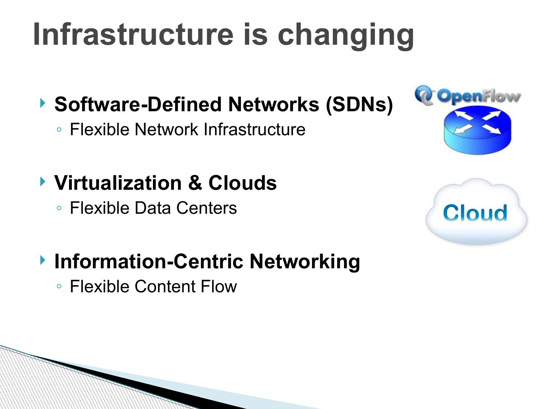# **Infrastructure is changing**

### **▶ Software-Defined Networks (SDNs)**

◦ Flexible Network Infrastructure

### **Virtualization & Clouds**

◦ Flexible Data Centers





### **Information-Centric Networking**

◦ Flexible Content Flow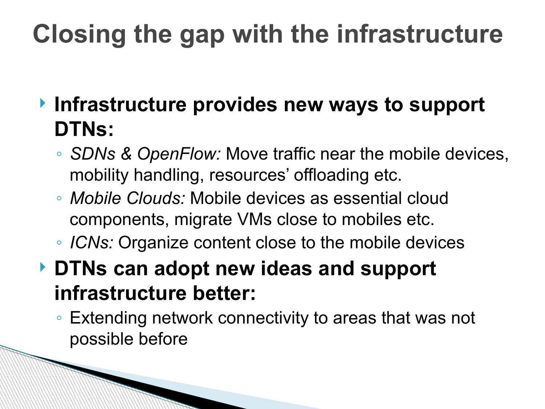### **Closing the gap with the infrastructure**

- **Infrastructure provides new ways to support DTNs:**
	- *SDNs & OpenFlow:* Move traffic near the mobile devices, mobility handling, resources' offloading etc.
	- *Mobile Clouds:* Mobile devices as essential cloud components, migrate VMs close to mobiles etc.
	- *ICNs:* Organize content close to the mobile devices
- **DTNs can adopt new ideas and support infrastructure better:**
	- Extending network connectivity to areas that was not possible before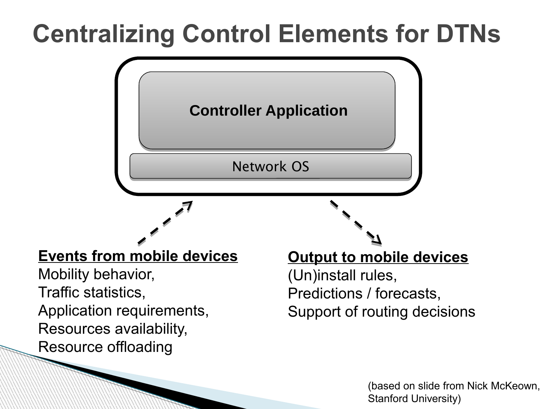### **Centralizing Control Elements for DTNs**



(based on slide from Nick McKeown, Stanford University)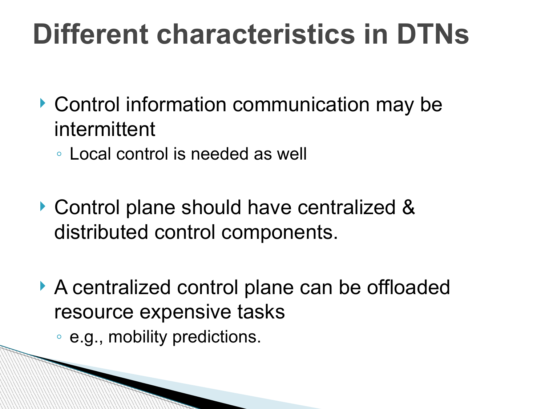### **Different characteristics in DTNs**

- ▶ Control information communication may be intermittent
	- Local control is needed as well
- ▶ Control plane should have centralized & distributed control components.
- A centralized control plane can be offloaded resource expensive tasks
	- e.g., mobility predictions.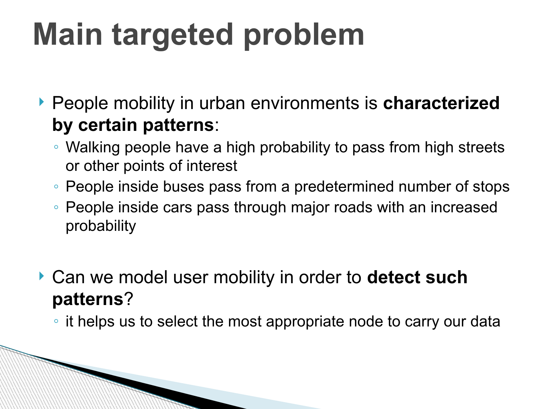# **Main targeted problem**

 People mobility in urban environments is **characterized by certain patterns**:

- Walking people have a high probability to pass from high streets or other points of interest
- People inside buses pass from a predetermined number of stops
- People inside cars pass through major roads with an increased probability
- Can we model user mobility in order to **detect such patterns**?

◦ it helps us to select the most appropriate node to carry our data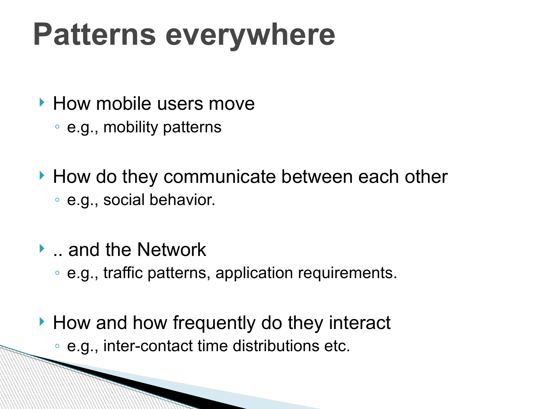## **Patterns everywhere**

- ▶ How mobile users move
	- e.g., mobility patterns
- How do they communicate between each other ◦ e.g., social behavior.
- **▶ .. and the Network** 
	- e.g., traffic patterns, application requirements.
- ▶ How and how frequently do they interact
	- e.g., inter-contact time distributions etc.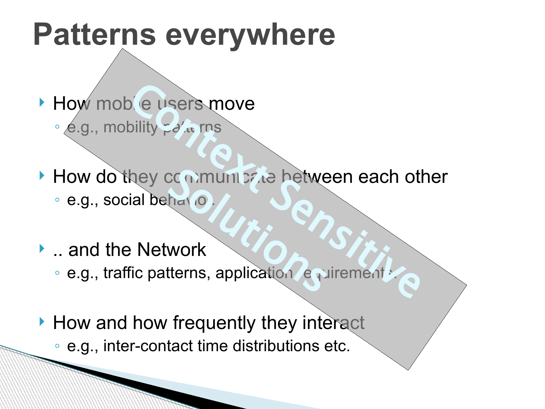### **Patterns everywhere**

- How mobile users move  $\circ$  e.g., mobility  $\frac{1}{2}$  o'  $\frac{1}{2}$  rns
- How do they communicate between each other<br>
e.g., social behano.<br>
... and the Network<br>
e.g., traffic patterns, application equirement Context Sensitive
	- · e.g., social behavio
- **L**. and the Network
	- e.g., traffic patterns, application equirement
- $\blacktriangleright$  How and how frequently they interact
	- e.g., inter-contact time distributions etc.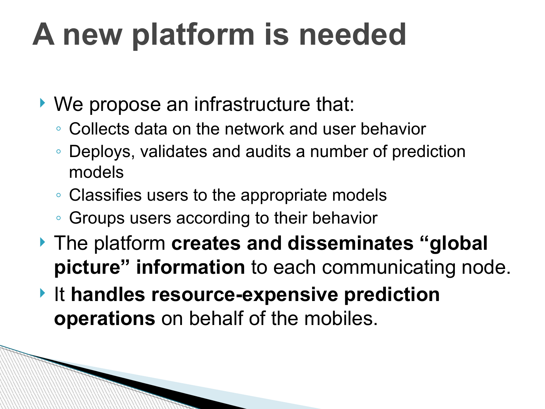# **A new platform is needed**

- ▶ We propose an infrastructure that:
	- Collects data on the network and user behavior
	- Deploys, validates and audits a number of prediction models
	- Classifies users to the appropriate models
	- Groups users according to their behavior
- The platform **creates and disseminates "global picture" information** to each communicating node.
- ▶ It handles resource-expensive prediction **operations** on behalf of the mobiles.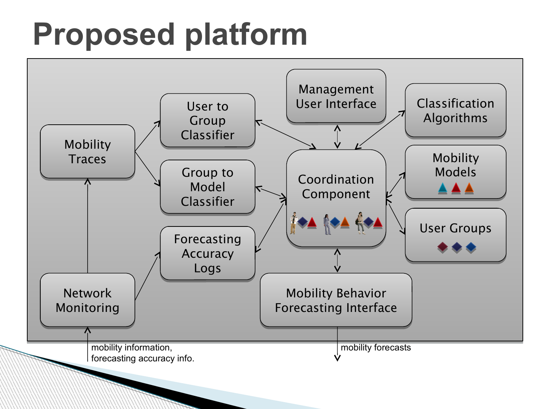## **Proposed platform**

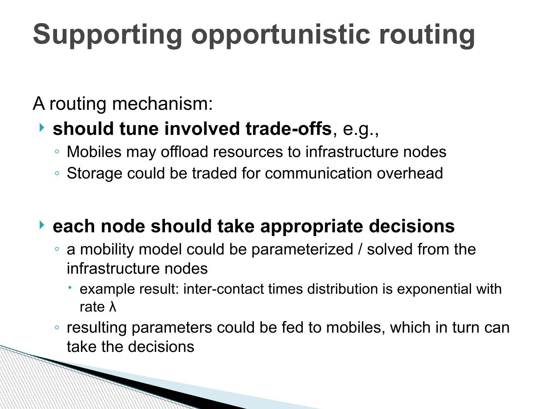## **Supporting opportunistic routing**

A routing mechanism:

### **should tune involved trade-offs**, e.g.,

- Mobiles may offload resources to infrastructure nodes
- Storage could be traded for communication overhead

### **each node should take appropriate decisions**

- a mobility model could be parameterized / solved from the infrastructure nodes
	- example result: inter-contact times distribution is exponential with rate λ
- resulting parameters could be fed to mobiles, which in turn can take the decisions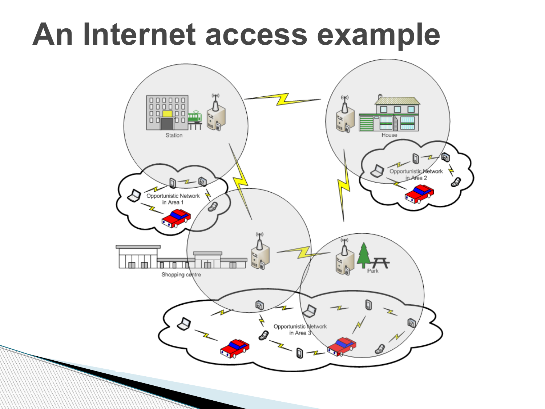### **An Internet access example**

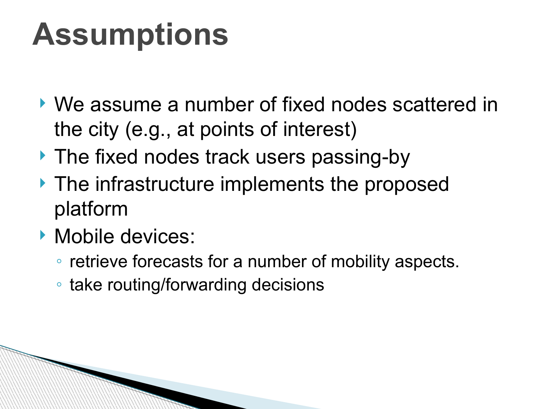## **Assumptions**

- We assume a number of fixed nodes scattered in the city (e.g., at points of interest)
- ▶ The fixed nodes track users passing-by
- **The infrastructure implements the proposed** platform
- **Mobile devices:** 
	- retrieve forecasts for a number of mobility aspects.
	- take routing/forwarding decisions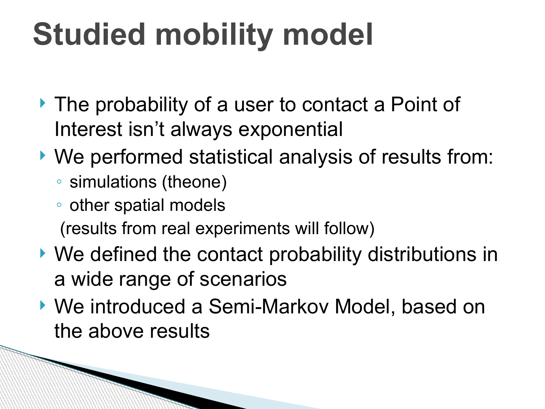# **Studied mobility model**

- ▶ The probability of a user to contact a Point of Interest isn't always exponential
- We performed statistical analysis of results from:
	- simulations (theone)
	- other spatial models

(results from real experiments will follow)

- We defined the contact probability distributions in a wide range of scenarios
- ▶ We introduced a Semi-Markov Model, based on the above results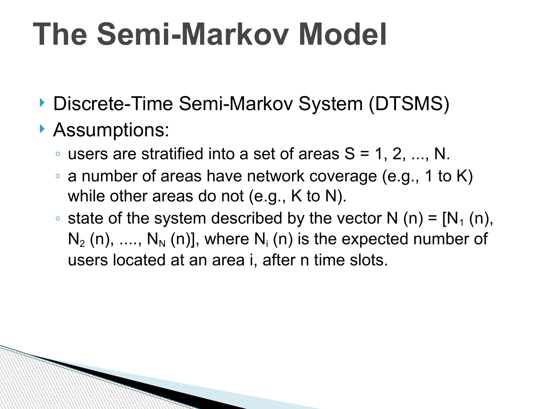## **The Semi-Markov Model**

- ▶ Discrete-Time Semi-Markov System (DTSMS)
- Assumptions:
	- $\circ$  users are stratified into a set of areas  $S = 1, 2, ..., N$ .
	- a number of areas have network coverage (e.g., 1 to K) while other areas do not (e.g., K to N).
	- state of the system described by the vector N (n) =  $[N_1(n)]$ ,  $N_2$  (n), ....,  $N_N$  (n)], where  $N_i$  (n) is the expected number of users located at an area i, after n time slots.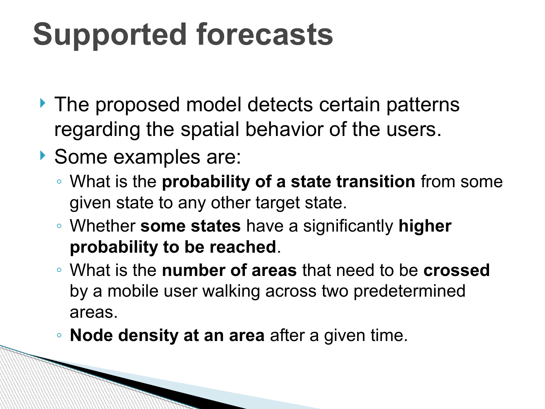# **Supported forecasts**

- If The proposed model detects certain patterns regarding the spatial behavior of the users.
- Some examples are:

**RANDAR BANGSARAN BERGERA BERGERA BERGERA BERGERA BERGERA BERGERA BERGERA BERGERA BERGERA BERGERA BERGERA BERG** 

- What is the **probability of a state transition** from some given state to any other target state.
- Whether **some states** have a significantly **higher probability to be reached**.
- What is the **number of areas** that need to be **crossed** by a mobile user walking across two predetermined areas.
- **Node density at an area** after a given time.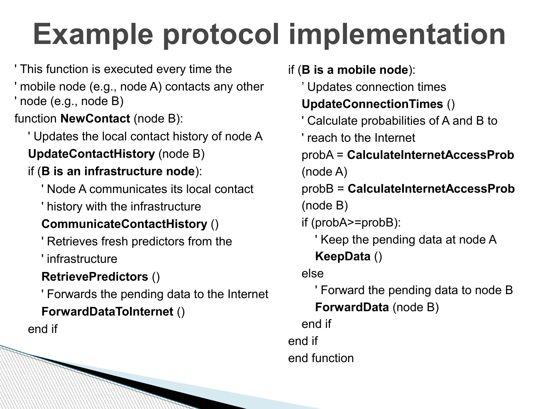## **Example protocol implementation**

' This function is executed every time the

' mobile node (e.g., node A) contacts any other ' node (e.g., node B)

function **NewContact** (node B):

' Updates the local contact history of node A

**UpdateContactHistory** (node B)

#### if (**B is an infrastructure node**):

' Node A communicates its local contact

' history with the infrastructure

### **CommunicateContactHistory** ()

' Retrieves fresh predictors from the

' infrastructure

### **RetrievePredictors** ()

' Forwards the pending data to the Internet

#### **ForwardDataToInternet** ()

end if

if (**B is a mobile node**):

' Updates connection times

#### **UpdateConnectionTimes** ()

' Calculate probabilities of A and B to

' reach to the Internet

 probA = **CalculateInternetAccessProb** (node A)

 probB = **CalculateInternetAccessProb** (node B)

if (probA>=probB):

' Keep the pending data at node A

### **KeepData** ()

#### else

 ' Forward the pending data to node B **ForwardData** (node B)

 end if end if end function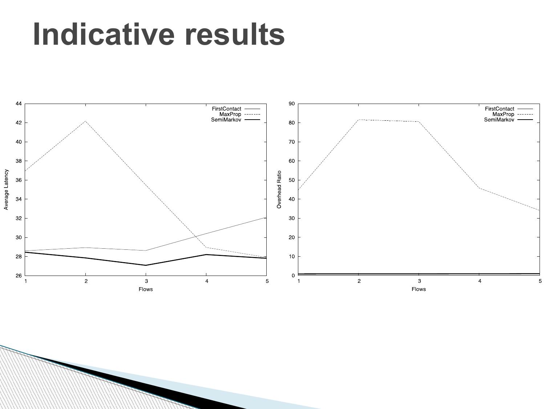### **Indicative results**

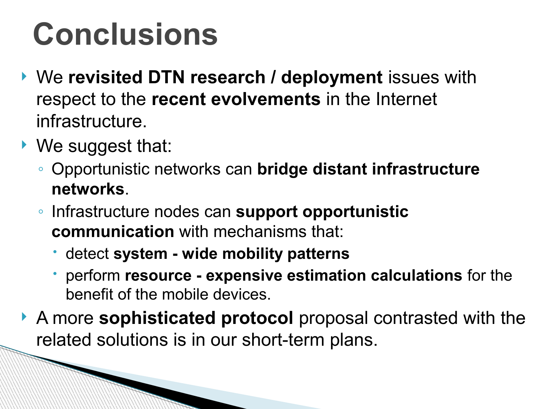## **Conclusions**

- ▶ We revisited DTN research / deployment *issues* with respect to the **recent evolvements** in the Internet infrastructure.
- ▶ We suggest that:

- Opportunistic networks can **bridge distant infrastructure networks**.
- Infrastructure nodes can **support opportunistic communication** with mechanisms that:
	- detect **system wide mobility patterns**
	- perform **resource expensive estimation calculations** for the benefit of the mobile devices.
- A more **sophisticated protocol** proposal contrasted with the related solutions is in our short-term plans.